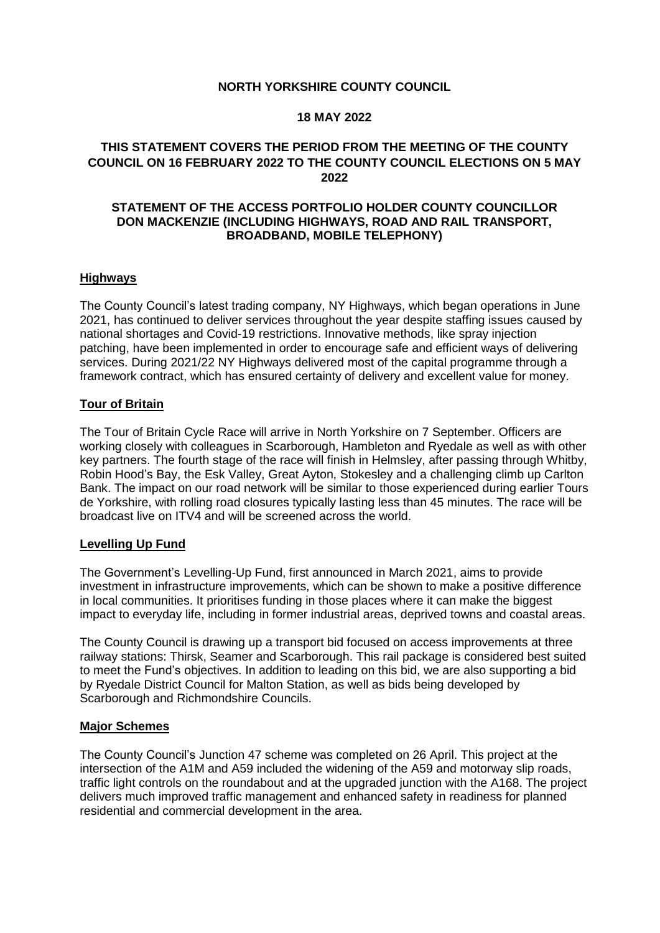#### **NORTH YORKSHIRE COUNTY COUNCIL**

#### **18 MAY 2022**

## **THIS STATEMENT COVERS THE PERIOD FROM THE MEETING OF THE COUNTY COUNCIL ON 16 FEBRUARY 2022 TO THE COUNTY COUNCIL ELECTIONS ON 5 MAY 2022**

#### **STATEMENT OF THE ACCESS PORTFOLIO HOLDER COUNTY COUNCILLOR DON MACKENZIE (INCLUDING HIGHWAYS, ROAD AND RAIL TRANSPORT, BROADBAND, MOBILE TELEPHONY)**

#### **Highways**

The County Council's latest trading company, NY Highways, which began operations in June 2021, has continued to deliver services throughout the year despite staffing issues caused by national shortages and Covid-19 restrictions. Innovative methods, like spray injection patching, have been implemented in order to encourage safe and efficient ways of delivering services. During 2021/22 NY Highways delivered most of the capital programme through a framework contract, which has ensured certainty of delivery and excellent value for money.

#### **Tour of Britain**

The Tour of Britain Cycle Race will arrive in North Yorkshire on 7 September. Officers are working closely with colleagues in Scarborough, Hambleton and Ryedale as well as with other key partners. The fourth stage of the race will finish in Helmsley, after passing through Whitby, Robin Hood's Bay, the Esk Valley, Great Ayton, Stokesley and a challenging climb up Carlton Bank. The impact on our road network will be similar to those experienced during earlier Tours de Yorkshire, with rolling road closures typically lasting less than 45 minutes. The race will be broadcast live on ITV4 and will be screened across the world.

### **Levelling Up Fund**

The Government's Levelling-Up Fund, first announced in March 2021, aims to provide investment in infrastructure improvements, which can be shown to make a positive difference in local communities. It prioritises funding in those places where it can make the biggest impact to everyday life, including in former industrial areas, deprived towns and coastal areas.

The County Council is drawing up a transport bid focused on access improvements at three railway stations: Thirsk, Seamer and Scarborough. This rail package is considered best suited to meet the Fund's objectives. In addition to leading on this bid, we are also supporting a bid by Ryedale District Council for Malton Station, as well as bids being developed by Scarborough and Richmondshire Councils.

### **Major Schemes**

The County Council's Junction 47 scheme was completed on 26 April. This project at the intersection of the A1M and A59 included the widening of the A59 and motorway slip roads, traffic light controls on the roundabout and at the upgraded junction with the A168. The project delivers much improved traffic management and enhanced safety in readiness for planned residential and commercial development in the area.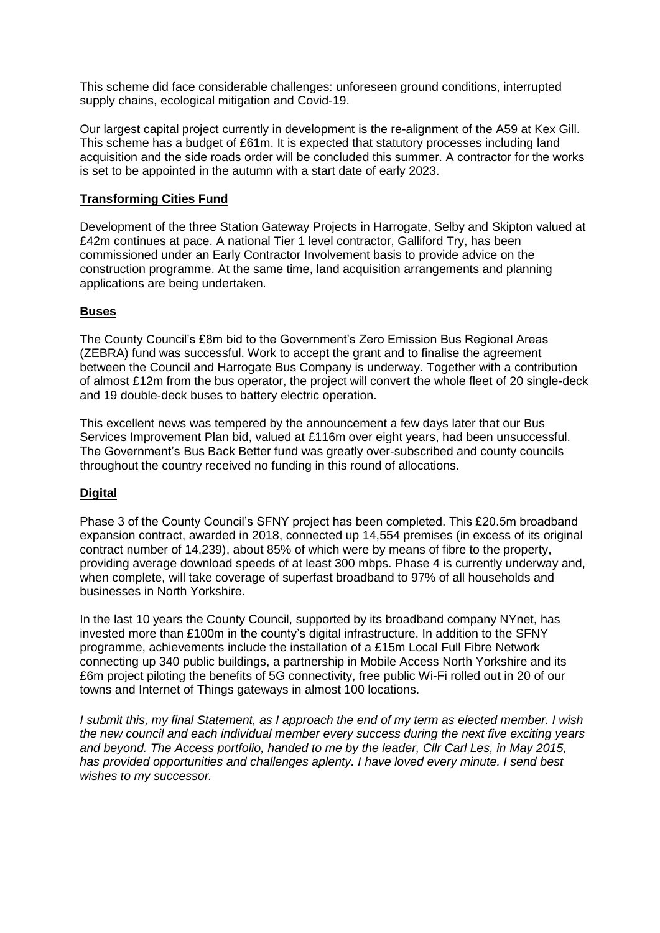This scheme did face considerable challenges: unforeseen ground conditions, interrupted supply chains, ecological mitigation and Covid-19.

Our largest capital project currently in development is the re-alignment of the A59 at Kex Gill. This scheme has a budget of £61m. It is expected that statutory processes including land acquisition and the side roads order will be concluded this summer. A contractor for the works is set to be appointed in the autumn with a start date of early 2023.

## **Transforming Cities Fund**

Development of the three Station Gateway Projects in Harrogate, Selby and Skipton valued at £42m continues at pace. A national Tier 1 level contractor, Galliford Try, has been commissioned under an Early Contractor Involvement basis to provide advice on the construction programme. At the same time, land acquisition arrangements and planning applications are being undertaken.

### **Buses**

The County Council's £8m bid to the Government's Zero Emission Bus Regional Areas (ZEBRA) fund was successful. Work to accept the grant and to finalise the agreement between the Council and Harrogate Bus Company is underway. Together with a contribution of almost £12m from the bus operator, the project will convert the whole fleet of 20 single-deck and 19 double-deck buses to battery electric operation.

This excellent news was tempered by the announcement a few days later that our Bus Services Improvement Plan bid, valued at £116m over eight years, had been unsuccessful. The Government's Bus Back Better fund was greatly over-subscribed and county councils throughout the country received no funding in this round of allocations.

# **Digital**

Phase 3 of the County Council's SFNY project has been completed. This £20.5m broadband expansion contract, awarded in 2018, connected up 14,554 premises (in excess of its original contract number of 14,239), about 85% of which were by means of fibre to the property, providing average download speeds of at least 300 mbps. Phase 4 is currently underway and, when complete, will take coverage of superfast broadband to 97% of all households and businesses in North Yorkshire.

In the last 10 years the County Council, supported by its broadband company NYnet, has invested more than £100m in the county's digital infrastructure. In addition to the SFNY programme, achievements include the installation of a £15m Local Full Fibre Network connecting up 340 public buildings, a partnership in Mobile Access North Yorkshire and its £6m project piloting the benefits of 5G connectivity, free public Wi-Fi rolled out in 20 of our towns and Internet of Things gateways in almost 100 locations.

*I submit this, my final Statement, as I approach the end of my term as elected member. I wish the new council and each individual member every success during the next five exciting years and beyond. The Access portfolio, handed to me by the leader, Cllr Carl Les, in May 2015, has provided opportunities and challenges aplenty. I have loved every minute. I send best wishes to my successor.*